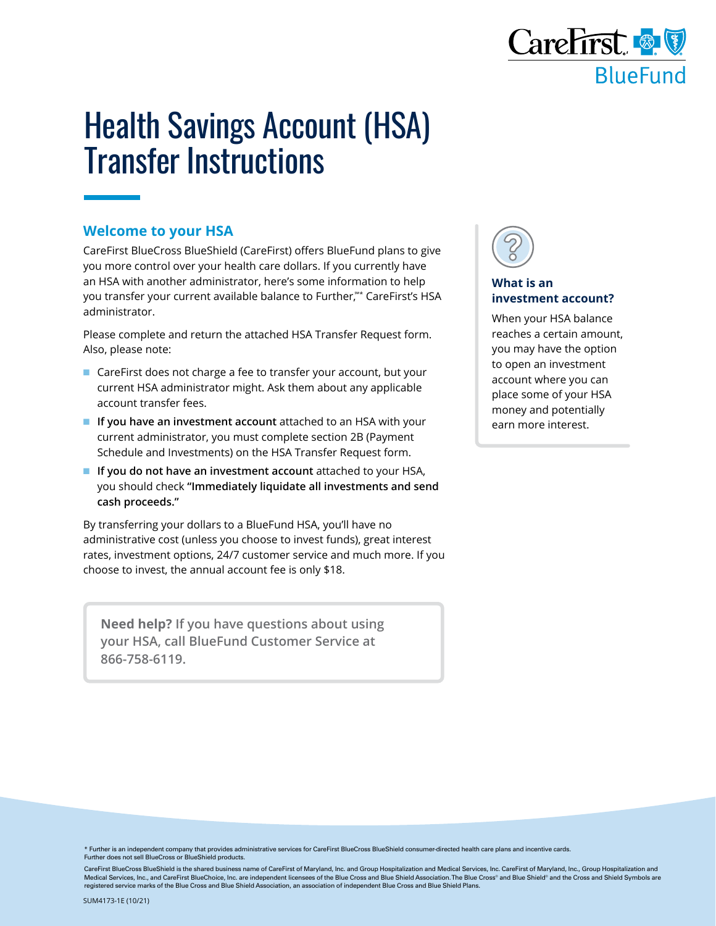

## Health Savings Account (HSA) Transfer Instructions

## **Welcome to your HSA**

CareFirst BlueCross BlueShield (CareFirst) offers BlueFund plans to give you more control over your health care dollars. If you currently have an HSA with another administrator, here's some information to help you transfer your current available balance to Further, \*\* CareFirst's HSA administrator.

Please complete and return the attached HSA Transfer Request form. Also, please note:

- CareFirst does not charge a fee to transfer your account, but your current HSA administrator might. Ask them about any applicable account transfer fees.
- **If you have an investment account** attached to an HSA with your current administrator, you must complete section 2B (Payment Schedule and Investments) on the HSA Transfer Request form.
- **If you do not have an investment account** attached to your HSA, you should check **"Immediately liquidate all investments and send cash proceeds."**

By transferring your dollars to a BlueFund HSA, you'll have no administrative cost (unless you choose to invest funds), great interest rates, investment options, 24/7 customer service and much more. If you choose to invest, the annual account fee is only \$18.

**Need help? If you have questions about using your HSA, call BlueFund Customer Service at 866-758-6119.**



## **What is an investment account?**

When your HSA balance reaches a certain amount, you may have the option to open an investment account where you can place some of your HSA money and potentially earn more interest.

\* Further is an independent company that provides administrative services for CareFirst BlueCross BlueShield consumer-directed health care plans and incentive cards. Further does not sell BlueCross or BlueShield products.

CareFirst BlueCross BlueShield is the shared business name of CareFirst of Maryland, Inc. and Group Hospitalization and Medical Services, Inc. CareFirst of Maryland, Inc., Group Hospitalization and Medical Services, Inc., and CareFirst BlueChoice, Inc. are independent licensees of the Blue Cross and Blue Shield Association. The Blue Cross® and Blue Shield® and the Cross and Shield Symbols are registered service marks of the Blue Cross and Blue Shield Association, an association of independent Blue Cross and Blue Shield Plans.